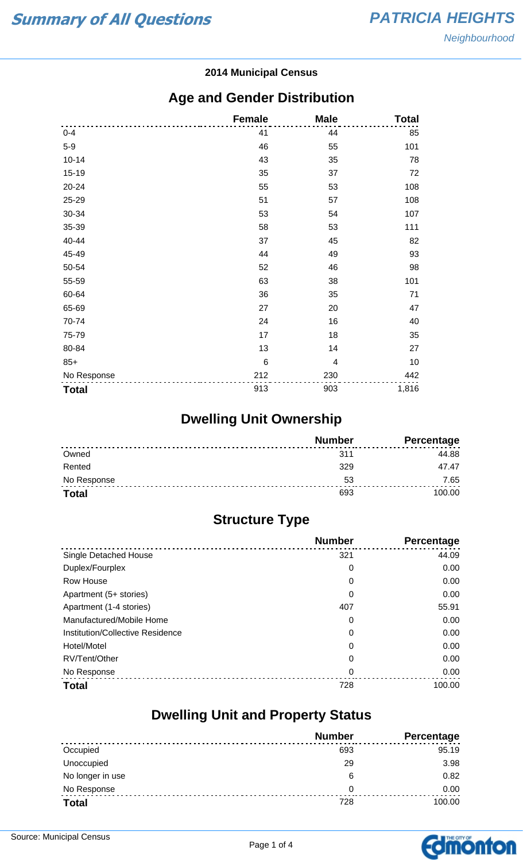#### **2014 Municipal Census**

#### **Age and Gender Distribution**

|              | <b>Female</b>   | <b>Male</b>    | <b>Total</b> |
|--------------|-----------------|----------------|--------------|
| $0 - 4$      | 41              | 44             | 85           |
| $5-9$        | 46              | 55             | 101          |
| $10 - 14$    | 43              | 35             | 78           |
| 15-19        | 35              | 37             | 72           |
| 20-24        | 55              | 53             | 108          |
| 25-29        | 51              | 57             | 108          |
| 30-34        | 53              | 54             | 107          |
| 35-39        | 58              | 53             | 111          |
| 40-44        | 37              | 45             | 82           |
| 45-49        | 44              | 49             | 93           |
| 50-54        | 52              | 46             | 98           |
| 55-59        | 63              | 38             | 101          |
| 60-64        | 36              | 35             | 71           |
| 65-69        | 27              | 20             | 47           |
| 70-74        | 24              | 16             | 40           |
| 75-79        | 17              | 18             | 35           |
| 80-84        | 13              | 14             | 27           |
| $85+$        | $6\phantom{1}6$ | $\overline{4}$ | 10           |
| No Response  | 212             | 230            | 442          |
| <b>Total</b> | 913             | 903            | 1,816        |

## **Dwelling Unit Ownership**

|              | <b>Number</b> | Percentage |
|--------------|---------------|------------|
| Owned        | 311           | 44.88      |
| Rented       | 329           | 47.47      |
| No Response  | 53            | 7.65       |
| <b>Total</b> |               | 100.00     |

## **Structure Type**

|                                  | <b>Number</b> | Percentage |
|----------------------------------|---------------|------------|
| <b>Single Detached House</b>     | 321           | 44.09      |
| Duplex/Fourplex                  | 0             | 0.00       |
| Row House                        | 0             | 0.00       |
| Apartment (5+ stories)           | 0             | 0.00       |
| Apartment (1-4 stories)          | 407           | 55.91      |
| Manufactured/Mobile Home         | 0             | 0.00       |
| Institution/Collective Residence | 0             | 0.00       |
| Hotel/Motel                      | 0             | 0.00       |
| RV/Tent/Other                    | 0             | 0.00       |
| No Response                      | 0             | 0.00       |
| <b>Total</b>                     | 728           | 100.00     |

#### **Dwelling Unit and Property Status**

|                  | <b>Number</b> | <b>Percentage</b> |
|------------------|---------------|-------------------|
| Occupied         | 693           | 95.19             |
| Unoccupied       | 29            | 3.98              |
| No longer in use | 6             | 0.82              |
| No Response      | 0             | 0.00              |
| <b>Total</b>     | 728           | 100.00            |

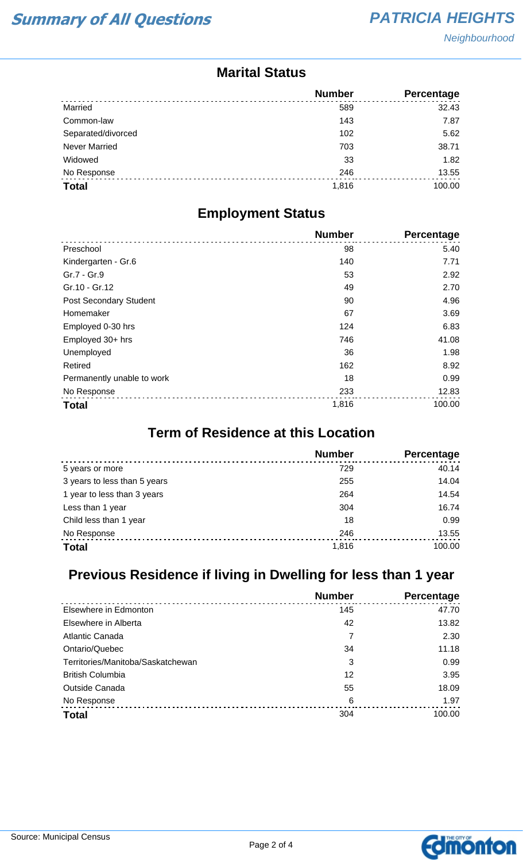#### **Marital Status**

|                      | <b>Number</b> | <b>Percentage</b> |
|----------------------|---------------|-------------------|
| Married              | 589           | 32.43             |
| Common-law           | 143           | 7.87              |
| Separated/divorced   | 102           | 5.62              |
| <b>Never Married</b> | 703           | 38.71             |
| Widowed              | 33            | 1.82              |
| No Response          | 246           | 13.55             |
| <b>Total</b>         | 1,816         | 100.00            |

#### **Employment Status**

|                            | <b>Number</b> | <b>Percentage</b> |
|----------------------------|---------------|-------------------|
| Preschool                  | 98            | 5.40              |
| Kindergarten - Gr.6        | 140           | 7.71              |
| Gr.7 - Gr.9                | 53            | 2.92              |
| Gr.10 - Gr.12              | 49            | 2.70              |
| Post Secondary Student     | 90            | 4.96              |
| Homemaker                  | 67            | 3.69              |
| Employed 0-30 hrs          | 124           | 6.83              |
| Employed 30+ hrs           | 746           | 41.08             |
| Unemployed                 | 36            | 1.98              |
| Retired                    | 162           | 8.92              |
| Permanently unable to work | 18            | 0.99              |
| No Response                | 233           | 12.83             |
| <b>Total</b>               | 1,816         | 100.00            |

## **Term of Residence at this Location**

|                              | <b>Number</b> | Percentage |
|------------------------------|---------------|------------|
| 5 years or more              | 729           | 40.14      |
| 3 years to less than 5 years | 255           | 14.04      |
| 1 year to less than 3 years  | 264           | 14.54      |
| Less than 1 year             | 304           | 16.74      |
| Child less than 1 year       | 18            | 0.99       |
| No Response                  | 246           | 13.55      |
| <b>Total</b>                 | 1,816         | 100.00     |

## **Previous Residence if living in Dwelling for less than 1 year**

|                                   | <b>Number</b> | Percentage |
|-----------------------------------|---------------|------------|
| Elsewhere in Edmonton             | 145           | 47.70      |
| Elsewhere in Alberta              | 42            | 13.82      |
| Atlantic Canada                   |               | 2.30       |
| Ontario/Quebec                    | 34            | 11.18      |
| Territories/Manitoba/Saskatchewan | 3             | 0.99       |
| <b>British Columbia</b>           | 12            | 3.95       |
| <b>Outside Canada</b>             | 55            | 18.09      |
| No Response                       | 6             | 1.97       |
| <b>Total</b>                      | 304           | 100.00     |

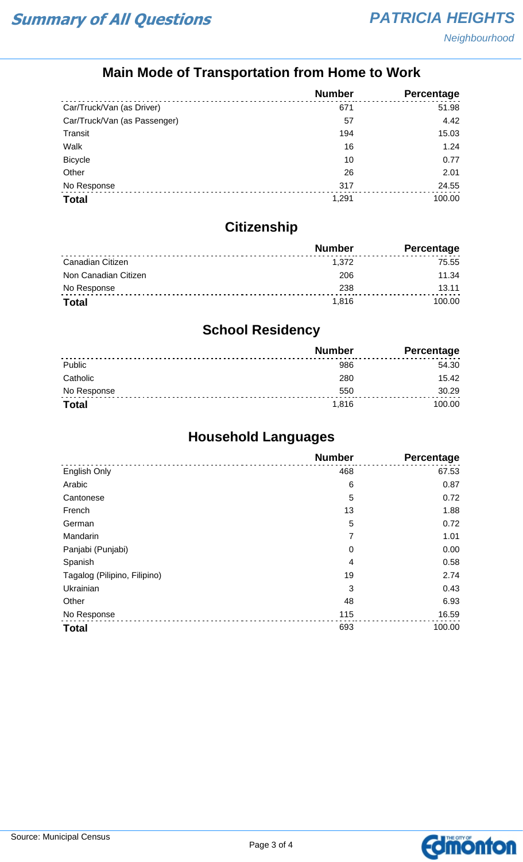## **Main Mode of Transportation from Home to Work**

|                              | <b>Number</b> | Percentage |
|------------------------------|---------------|------------|
| Car/Truck/Van (as Driver)    | 671           | 51.98      |
| Car/Truck/Van (as Passenger) | 57            | 4.42       |
| Transit                      | 194           | 15.03      |
| Walk                         | 16            | 1.24       |
| <b>Bicycle</b>               | 10            | 0.77       |
| Other                        | 26            | 2.01       |
| No Response                  | 317           | 24.55      |
| <b>Total</b>                 | 1,291         | 100.00     |

## **Citizenship**

|                      | <b>Number</b> | Percentage |
|----------------------|---------------|------------|
| Canadian Citizen     | 1.372         | 75.55      |
| Non Canadian Citizen | 206           | 11.34      |
| No Response          | 238           | 13.11      |
| <b>Total</b>         | 1.816         | 100.00     |

## **School Residency**

|              | <b>Number</b> | <b>Percentage</b> |
|--------------|---------------|-------------------|
| Public       | 986           | 54.30             |
| Catholic     | 280           | 15.42             |
| No Response  | 550           | 30.29             |
| <b>Total</b> | 1.816         | 100.00            |

## **Household Languages**

|                              | <b>Number</b> | Percentage |
|------------------------------|---------------|------------|
| English Only                 | 468           | 67.53      |
| Arabic                       | 6             | 0.87       |
| Cantonese                    | 5             | 0.72       |
| French                       | 13            | 1.88       |
| German                       | 5             | 0.72       |
| Mandarin                     | 7             | 1.01       |
| Panjabi (Punjabi)            | $\mathbf 0$   | 0.00       |
| Spanish                      | 4             | 0.58       |
| Tagalog (Pilipino, Filipino) | 19            | 2.74       |
| Ukrainian                    | 3             | 0.43       |
| Other                        | 48            | 6.93       |
| No Response                  | 115           | 16.59      |
| <b>Total</b>                 | 693           | 100.00     |